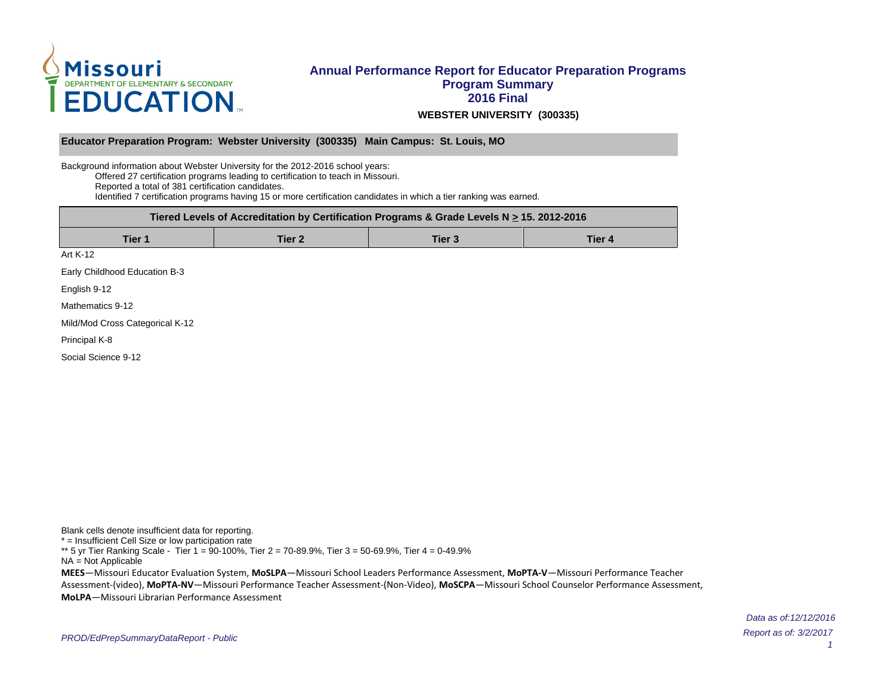

### **Annual Performance Report for Educator Preparation Programs Program Summary 2016 Final WEBSTER UNIVERSITY (300335)**

#### **Educator Preparation Program: Webster University (300335) Main Campus: St. Louis, MO**

Background information about Webster University for the 2012-2016 school years: Offered 27 certification programs leading to certification to teach in Missouri. Reported a total of 381 certification candidates. Identified 7 certification programs having 15 or more certification candidates in which a tier ranking was earned.

| Tiered Levels of Accreditation by Certification Programs & Grade Levels N $\geq$ 15. 2012-2016 |        |        |        |  |  |  |  |  |  |  |
|------------------------------------------------------------------------------------------------|--------|--------|--------|--|--|--|--|--|--|--|
| Tier 1                                                                                         | Tier 2 | Tier 3 | Tier 4 |  |  |  |  |  |  |  |
| Art K-12                                                                                       |        |        |        |  |  |  |  |  |  |  |
| Early Childhood Education B-3                                                                  |        |        |        |  |  |  |  |  |  |  |

English 9-12

Mathematics 9-12

Mild/Mod Cross Categorical K-12

Principal K-8

Social Science 9-12

Blank cells denote insufficient data for reporting. \* = Insufficient Cell Size or low participation rate \*\* 5 yr Tier Ranking Scale - Tier 1 = 90-100%, Tier 2 = 70-89.9%, Tier 3 = 50-69.9%, Tier 4 = 0-49.9% NA = Not Applicable **MEES**-Missouri Educator Evaluation System, MoSLPA-Missouri School Leaders Performance Assessment, MoPTA-V-Missouri Performance Teacher Assessment-(video), MoPTA-NV-Missouri Performance Teacher Assessment-(Non-Video), MoSCPA-Missouri School Counselor Performance Assessment, **MoLPA** – Missouri Librarian Performance Assessment

> Report as of: 3/2/2017 Data as of:12/12/2016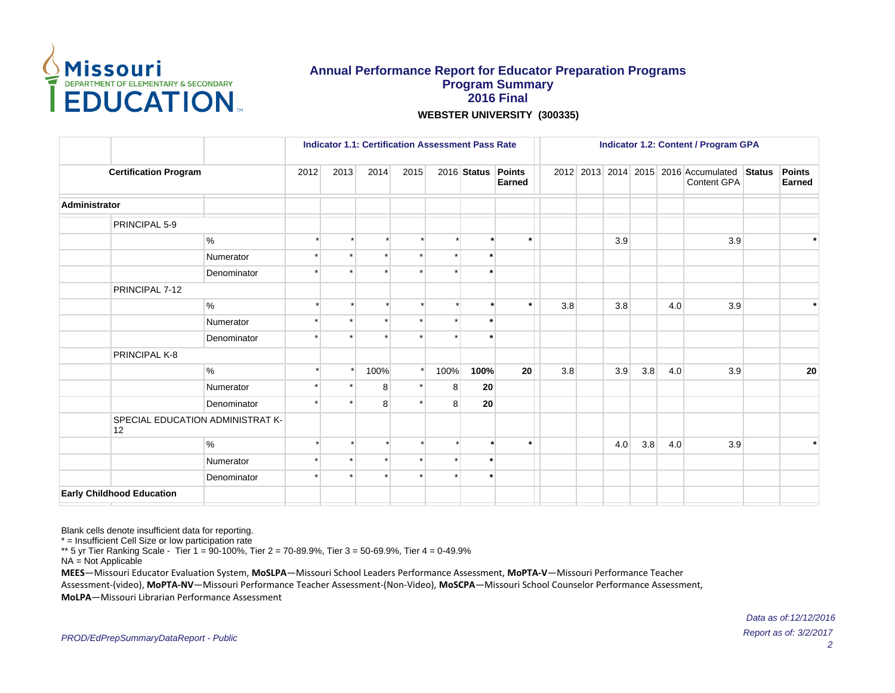

### **Annual Performance Report for Educator Preparation Programs Program Summary 2016 Final WEBSTER UNIVERSITY (300335)**

 **Indicator 1.1: Certification Assessment Pass Rate Indicator 1.2: Content / Program GPA Certification Program** 2012 2013 2014 2015 2016 **Status Points Earned** 2012 2013 2014 2015 2016 Accumulated Status Content GPA **Points Earned Administrator** PRINCIPAL 5-9 % \* \* \* \* \* **\* \*** 3.9 3.9 **\*** Numerator **a i i i i i i i i i** Denominator **\*** \* \* \* \* \* \* \* PRINCIPAL 7-12 % \* \* \* \* \* **\* \*** 3.8 3.8 4.0 3.9 **\*** Numerator \* \* \* \* \* **\*** Denominator **\*** \* \* \* \* \* \* \* PRINCIPAL K-8 % \* \* 100% \* 100% **100% 20** 3.8 3.9 3.8 4.0 3.9 **20** Numerator  $\vert$  \*  $\vert$  \* 8 \* 8 20 Denominator \* \* 8 \* 8 **20** SPECIAL EDUCATION ADMINISTRAT K-12 % \* \* \* \* \* **\* \*** 4.0 3.8 4.0 3.9 **\*** Numerator **a \* \* \* \* \* \* \* \*** Denominator **\*** \* \* \* \* \* \* \* **Early Childhood Education**

Blank cells denote insufficient data for reporting.

\* = Insufficient Cell Size or low participation rate

\*\* 5 yr Tier Ranking Scale - Tier 1 = 90-100%, Tier 2 = 70-89.9%, Tier 3 = 50-69.9%, Tier 4 = 0-49.9%

NA = Not Applicable

**MEES**-Missouri Educator Evaluation System, MoSLPA-Missouri School Leaders Performance Assessment, MoPTA-V-Missouri Performance Teacher

Assessment-(video), MoPTA-NV-Missouri Performance Teacher Assessment-(Non-Video), MoSCPA-Missouri School Counselor Performance Assessment,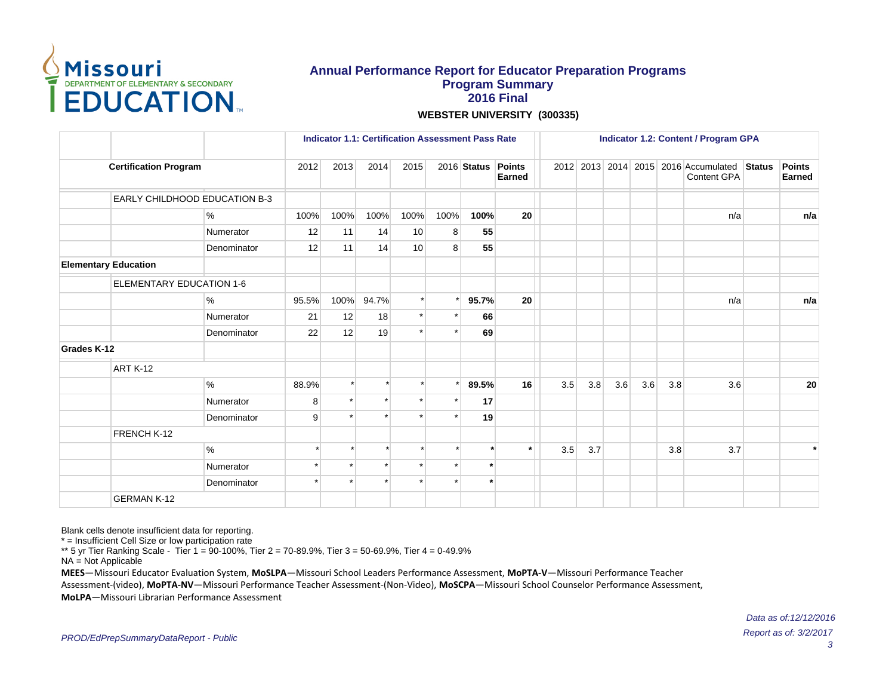

**WEBSTER UNIVERSITY (300335)**

|             |                                 |             |         | <b>Indicator 1.1: Certification Assessment Pass Rate</b> |          |      |         |             |                                | <b>Indicator 1.2: Content / Program GPA</b> |     |     |     |     |                                                            |  |                                |
|-------------|---------------------------------|-------------|---------|----------------------------------------------------------|----------|------|---------|-------------|--------------------------------|---------------------------------------------|-----|-----|-----|-----|------------------------------------------------------------|--|--------------------------------|
|             | <b>Certification Program</b>    |             | 2012    | 2013                                                     | 2014     | 2015 |         | 2016 Status | <b>Points</b><br><b>Earned</b> |                                             |     |     |     |     | 2012 2013 2014 2015 2016 Accumulated Status<br>Content GPA |  | <b>Points</b><br><b>Earned</b> |
|             | EARLY CHILDHOOD EDUCATION B-3   |             |         |                                                          |          |      |         |             |                                |                                             |     |     |     |     |                                                            |  |                                |
|             |                                 | %           | 100%    | 100%                                                     | 100%     | 100% | 100%    | 100%        | 20                             |                                             |     |     |     |     | n/a                                                        |  | n/a                            |
|             |                                 | Numerator   | 12      | 11                                                       | 14       | 10   | 8       | 55          |                                |                                             |     |     |     |     |                                                            |  |                                |
|             |                                 | Denominator | 12      | 11                                                       | 14       | 10   | 8       | 55          |                                |                                             |     |     |     |     |                                                            |  |                                |
|             | <b>Elementary Education</b>     |             |         |                                                          |          |      |         |             |                                |                                             |     |     |     |     |                                                            |  |                                |
|             | <b>ELEMENTARY EDUCATION 1-6</b> |             |         |                                                          |          |      |         |             |                                |                                             |     |     |     |     |                                                            |  |                                |
|             |                                 | %           | 95.5%   | 100%                                                     | 94.7%    |      | $\star$ | 95.7%       | 20                             |                                             |     |     |     |     | n/a                                                        |  | n/a                            |
|             |                                 | Numerator   | 21      | 12                                                       | 18       |      |         | 66          |                                |                                             |     |     |     |     |                                                            |  |                                |
|             |                                 | Denominator | 22      | 12                                                       | 19       |      |         | 69          |                                |                                             |     |     |     |     |                                                            |  |                                |
| Grades K-12 |                                 |             |         |                                                          |          |      |         |             |                                |                                             |     |     |     |     |                                                            |  |                                |
|             | <b>ART K-12</b>                 |             |         |                                                          |          |      |         |             |                                |                                             |     |     |     |     |                                                            |  |                                |
|             |                                 | $\%$        | 88.9%   |                                                          | $\star$  |      |         | 89.5%       | 16                             | 3.5                                         | 3.8 | 3.6 | 3.6 | 3.8 | 3.6                                                        |  | 20                             |
|             |                                 | Numerator   | 8       |                                                          | $\star$  |      |         | 17          |                                |                                             |     |     |     |     |                                                            |  |                                |
|             |                                 | Denominator | 9       |                                                          | $\star$  |      |         | 19          |                                |                                             |     |     |     |     |                                                            |  |                                |
|             | FRENCH K-12                     |             |         |                                                          |          |      |         |             |                                |                                             |     |     |     |     |                                                            |  |                                |
|             |                                 | %           |         |                                                          | $\star$  |      |         |             | $\star$                        | 3.5                                         | 3.7 |     |     | 3.8 | 3.7                                                        |  | $\star$                        |
|             |                                 | Numerator   | $\star$ |                                                          | $^\star$ |      |         |             |                                |                                             |     |     |     |     |                                                            |  |                                |
|             |                                 | Denominator | $\star$ |                                                          | $\star$  |      |         |             |                                |                                             |     |     |     |     |                                                            |  |                                |
|             | <b>GERMAN K-12</b>              |             |         |                                                          |          |      |         |             |                                |                                             |     |     |     |     |                                                            |  |                                |

Blank cells denote insufficient data for reporting.

\* = Insufficient Cell Size or low participation rate

\*\* 5 yr Tier Ranking Scale - Tier 1 = 90-100%, Tier 2 = 70-89.9%, Tier 3 = 50-69.9%, Tier 4 = 0-49.9%

NA = Not Applicable

**MEES**-Missouri Educator Evaluation System, MoSLPA-Missouri School Leaders Performance Assessment, MoPTA-V-Missouri Performance Teacher

Assessment-(video), MoPTA-NV-Missouri Performance Teacher Assessment-(Non-Video), MoSCPA-Missouri School Counselor Performance Assessment,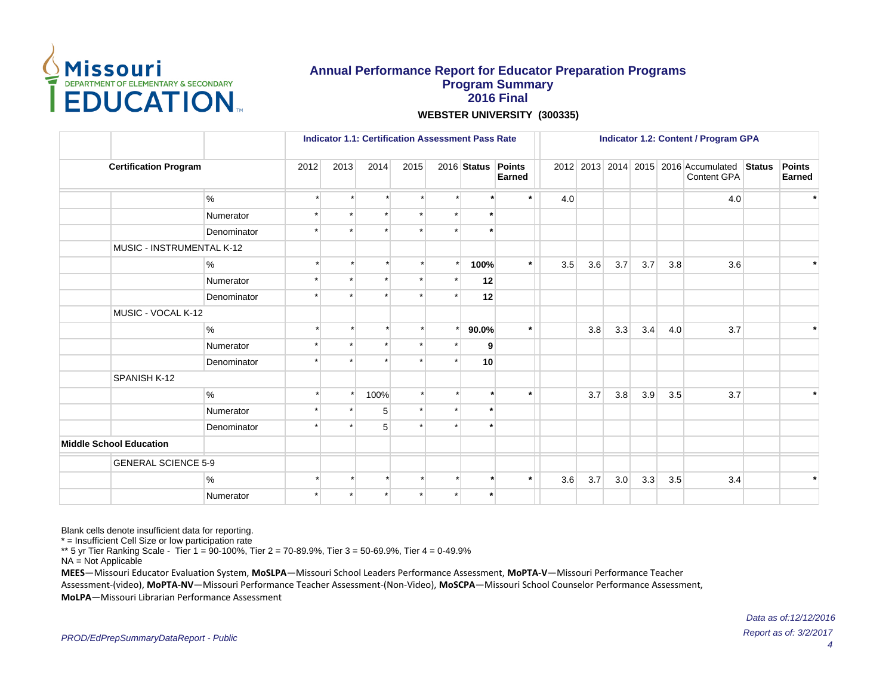

**WEBSTER UNIVERSITY (300335)**

|                                |             |         | <b>Indicator 1.1: Certification Assessment Pass Rate</b> |         |      |  |                    |         | <b>Indicator 1.2: Content / Program GPA</b> |     |     |     |     |                                                            |  |                                |
|--------------------------------|-------------|---------|----------------------------------------------------------|---------|------|--|--------------------|---------|---------------------------------------------|-----|-----|-----|-----|------------------------------------------------------------|--|--------------------------------|
| <b>Certification Program</b>   |             | 2012    | 2013                                                     | 2014    | 2015 |  | 2016 Status Points | Earned  |                                             |     |     |     |     | 2012 2013 2014 2015 2016 Accumulated Status<br>Content GPA |  | <b>Points</b><br><b>Earned</b> |
|                                | $\%$        |         |                                                          |         |      |  |                    | $\star$ | 4.0                                         |     |     |     |     | 4.0                                                        |  | $\star$                        |
|                                | Numerator   |         |                                                          | $\star$ |      |  | $\star$            |         |                                             |     |     |     |     |                                                            |  |                                |
|                                | Denominator | $\star$ |                                                          |         |      |  |                    |         |                                             |     |     |     |     |                                                            |  |                                |
| MUSIC - INSTRUMENTAL K-12      |             |         |                                                          |         |      |  |                    |         |                                             |     |     |     |     |                                                            |  |                                |
|                                | %           |         |                                                          |         |      |  | 100%               | $\star$ | 3.5                                         | 3.6 | 3.7 | 3.7 | 3.8 | 3.6                                                        |  | $\star$                        |
|                                | Numerator   |         |                                                          |         |      |  | 12                 |         |                                             |     |     |     |     |                                                            |  |                                |
|                                | Denominator |         |                                                          |         |      |  | 12                 |         |                                             |     |     |     |     |                                                            |  |                                |
| MUSIC - VOCAL K-12             |             |         |                                                          |         |      |  |                    |         |                                             |     |     |     |     |                                                            |  |                                |
|                                | %           |         |                                                          |         |      |  | 90.0%              | $\star$ |                                             | 3.8 | 3.3 | 3.4 | 4.0 | 3.7                                                        |  |                                |
|                                | Numerator   |         |                                                          | $\star$ |      |  | 9                  |         |                                             |     |     |     |     |                                                            |  |                                |
|                                | Denominator |         |                                                          |         |      |  | 10                 |         |                                             |     |     |     |     |                                                            |  |                                |
| SPANISH K-12                   |             |         |                                                          |         |      |  |                    |         |                                             |     |     |     |     |                                                            |  |                                |
|                                | $\%$        |         |                                                          | 100%    |      |  |                    | $\star$ |                                             | 3.7 | 3.8 | 3.9 | 3.5 | 3.7                                                        |  | $\ast$                         |
|                                | Numerator   |         |                                                          | 5       |      |  | $\star$            |         |                                             |     |     |     |     |                                                            |  |                                |
|                                | Denominator |         |                                                          | 5       |      |  |                    |         |                                             |     |     |     |     |                                                            |  |                                |
| <b>Middle School Education</b> |             |         |                                                          |         |      |  |                    |         |                                             |     |     |     |     |                                                            |  |                                |
| <b>GENERAL SCIENCE 5-9</b>     |             |         |                                                          |         |      |  |                    |         |                                             |     |     |     |     |                                                            |  |                                |
|                                | %           |         |                                                          |         |      |  |                    | $\star$ | 3.6                                         | 3.7 | 3.0 | 3.3 | 3.5 | 3.4                                                        |  | $\ast$                         |
|                                | Numerator   | $\star$ | $\star$                                                  |         |      |  |                    |         |                                             |     |     |     |     |                                                            |  |                                |

Blank cells denote insufficient data for reporting.

\* = Insufficient Cell Size or low participation rate

\*\* 5 yr Tier Ranking Scale - Tier 1 = 90-100%, Tier 2 = 70-89.9%, Tier 3 = 50-69.9%, Tier 4 = 0-49.9%

NA = Not Applicable

**MEES**-Missouri Educator Evaluation System, MoSLPA-Missouri School Leaders Performance Assessment, MoPTA-V-Missouri Performance Teacher Assessment-(video), MoPTA-NV-Missouri Performance Teacher Assessment-(Non-Video), MoSCPA-Missouri School Counselor Performance Assessment,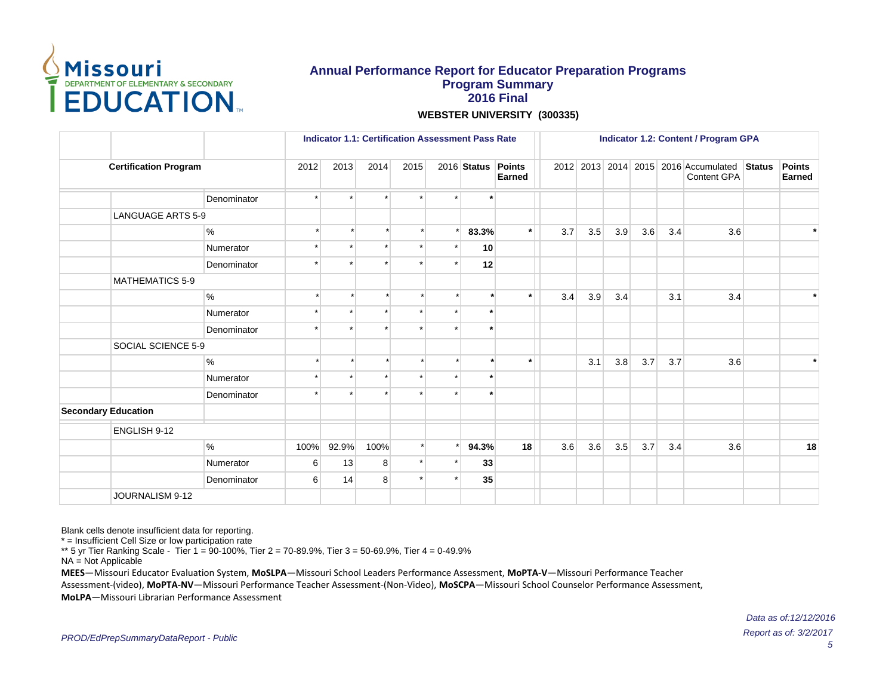

**WEBSTER UNIVERSITY (300335)**

|                              |             |                     | <b>Indicator 1.1: Certification Assessment Pass Rate</b> |         |         |    |                    |         | <b>Indicator 1.2: Content / Program GPA</b> |     |     |     |     |                                                     |               |                         |
|------------------------------|-------------|---------------------|----------------------------------------------------------|---------|---------|----|--------------------|---------|---------------------------------------------|-----|-----|-----|-----|-----------------------------------------------------|---------------|-------------------------|
| <b>Certification Program</b> |             | 2012                | 2013                                                     | 2014    | 2015    |    | 2016 Status Points | Earned  |                                             |     |     |     |     | 2012 2013 2014 2015 2016 Accumulated<br>Content GPA | <b>Status</b> | <b>Points</b><br>Earned |
|                              | Denominator |                     | $\star$                                                  | $\star$ |         |    | $\cdot$            |         |                                             |     |     |     |     |                                                     |               |                         |
| <b>LANGUAGE ARTS 5-9</b>     |             |                     |                                                          |         |         |    |                    |         |                                             |     |     |     |     |                                                     |               |                         |
|                              | $\%$        |                     |                                                          |         |         |    | 83.3%              | $\star$ | 3.7                                         | 3.5 | 3.9 | 3.6 | 3.4 | 3.6                                                 |               | $\star$                 |
|                              | Numerator   |                     |                                                          |         |         |    | 10                 |         |                                             |     |     |     |     |                                                     |               |                         |
|                              | Denominator |                     | ÷                                                        |         |         |    | 12                 |         |                                             |     |     |     |     |                                                     |               |                         |
| <b>MATHEMATICS 5-9</b>       |             |                     |                                                          |         |         |    |                    |         |                                             |     |     |     |     |                                                     |               |                         |
|                              | $\%$        |                     |                                                          |         |         |    |                    | ÷       | 3.4                                         | 3.9 | 3.4 |     | 3.1 | 3.4                                                 |               | $\star$                 |
|                              | Numerator   |                     |                                                          |         |         |    | $\star$            |         |                                             |     |     |     |     |                                                     |               |                         |
|                              | Denominator |                     |                                                          |         |         |    | $\star$            |         |                                             |     |     |     |     |                                                     |               |                         |
| SOCIAL SCIENCE 5-9           |             |                     |                                                          |         |         |    |                    |         |                                             |     |     |     |     |                                                     |               |                         |
|                              | %           |                     |                                                          |         |         |    |                    | $\star$ |                                             | 3.1 | 3.8 | 3.7 | 3.7 | 3.6                                                 |               | $\star$                 |
|                              | Numerator   |                     |                                                          |         |         |    | $\cdot$            |         |                                             |     |     |     |     |                                                     |               |                         |
|                              | Denominator |                     |                                                          |         |         |    | $\overline{v}$     |         |                                             |     |     |     |     |                                                     |               |                         |
| <b>Secondary Education</b>   |             |                     |                                                          |         |         |    |                    |         |                                             |     |     |     |     |                                                     |               |                         |
| ENGLISH 9-12                 |             |                     |                                                          |         |         |    |                    |         |                                             |     |     |     |     |                                                     |               |                         |
|                              | %           | 100%                | 92.9%                                                    | 100%    |         |    | 94.3%              | 18      | 3.6                                         | 3.6 | 3.5 | 3.7 | 3.4 | 3.6                                                 |               | 18                      |
|                              | Numerator   | 6                   | 13                                                       | 8       | $\star$ |    | 33                 |         |                                             |     |     |     |     |                                                     |               |                         |
|                              | Denominator | 8<br>$6 \mid$<br>14 |                                                          |         |         | 35 |                    |         |                                             |     |     |     |     |                                                     |               |                         |
| JOURNALISM 9-12              |             |                     |                                                          |         |         |    |                    |         |                                             |     |     |     |     |                                                     |               |                         |

Blank cells denote insufficient data for reporting.

\* = Insufficient Cell Size or low participation rate

\*\* 5 yr Tier Ranking Scale - Tier 1 = 90-100%, Tier 2 = 70-89.9%, Tier 3 = 50-69.9%, Tier 4 = 0-49.9%

NA = Not Applicable

**MEES**-Missouri Educator Evaluation System, MoSLPA-Missouri School Leaders Performance Assessment, MoPTA-V-Missouri Performance Teacher Assessment-(video), MoPTA-NV-Missouri Performance Teacher Assessment-(Non-Video), MoSCPA-Missouri School Counselor Performance Assessment,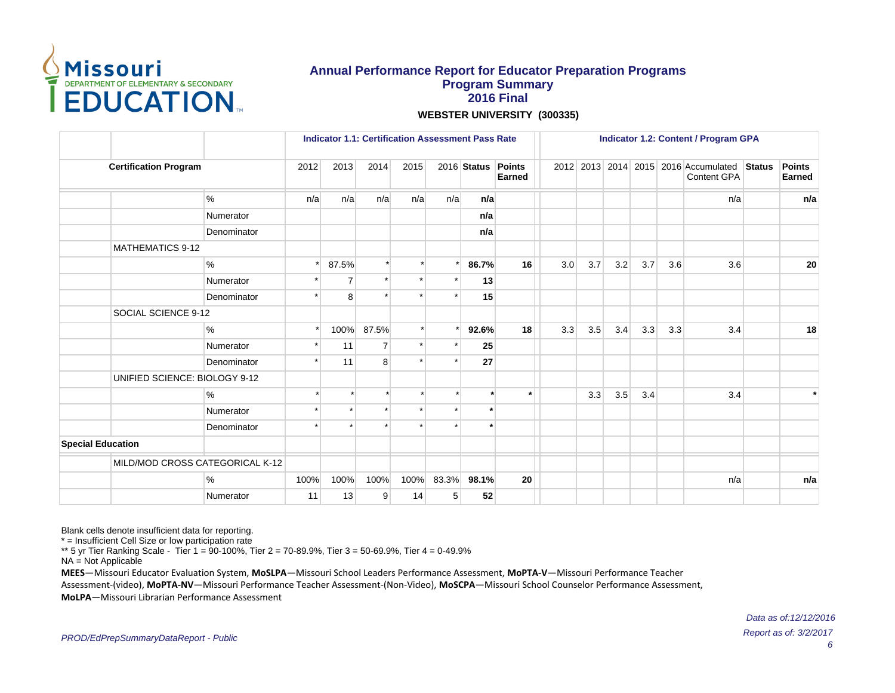

**WEBSTER UNIVERSITY (300335)**

|                          |                                 |             |         | <b>Indicator 1.1: Certification Assessment Pass Rate</b> |                |      |       |             |                  | <b>Indicator 1.2: Content / Program GPA</b> |     |     |     |     |                                                     |               |                         |
|--------------------------|---------------------------------|-------------|---------|----------------------------------------------------------|----------------|------|-------|-------------|------------------|---------------------------------------------|-----|-----|-----|-----|-----------------------------------------------------|---------------|-------------------------|
|                          | <b>Certification Program</b>    |             | 2012    | 2013                                                     | 2014           | 2015 |       | 2016 Status | Points<br>Earned |                                             |     |     |     |     | 2012 2013 2014 2015 2016 Accumulated<br>Content GPA | <b>Status</b> | Points<br><b>Earned</b> |
|                          |                                 | $\%$        | n/a     | n/a                                                      | n/a            | n/a  | n/a   | n/a         |                  |                                             |     |     |     |     | n/a                                                 |               | n/a                     |
|                          |                                 | Numerator   |         |                                                          |                |      |       | n/a         |                  |                                             |     |     |     |     |                                                     |               |                         |
|                          |                                 | Denominator |         |                                                          |                |      |       | n/a         |                  |                                             |     |     |     |     |                                                     |               |                         |
|                          | <b>MATHEMATICS 9-12</b>         |             |         |                                                          |                |      |       |             |                  |                                             |     |     |     |     |                                                     |               |                         |
|                          |                                 | $\%$        | $\star$ | 87.5%                                                    | $\star$        |      |       | 86.7%       | 16               | 3.0                                         | 3.7 | 3.2 | 3.7 | 3.6 | 3.6                                                 |               | 20                      |
|                          |                                 | Numerator   |         | $\overline{7}$                                           |                |      |       | 13          |                  |                                             |     |     |     |     |                                                     |               |                         |
|                          |                                 | Denominator |         | 8                                                        |                |      |       | 15          |                  |                                             |     |     |     |     |                                                     |               |                         |
|                          | SOCIAL SCIENCE 9-12             |             |         |                                                          |                |      |       |             |                  |                                             |     |     |     |     |                                                     |               |                         |
|                          |                                 | $\%$        | $\star$ | 100%                                                     | 87.5%          |      |       | 92.6%       | 18               | 3.3                                         | 3.5 | 3.4 | 3.3 | 3.3 | 3.4                                                 |               | 18                      |
|                          |                                 | Numerator   |         | 11                                                       | $\overline{7}$ |      |       | 25          |                  |                                             |     |     |     |     |                                                     |               |                         |
|                          |                                 | Denominator |         | 11                                                       | 8              |      |       | 27          |                  |                                             |     |     |     |     |                                                     |               |                         |
|                          | UNIFIED SCIENCE: BIOLOGY 9-12   |             |         |                                                          |                |      |       |             |                  |                                             |     |     |     |     |                                                     |               |                         |
|                          |                                 | $\%$        |         |                                                          | $\star$        |      |       |             | $\star$          |                                             | 3.3 | 3.5 | 3.4 |     | 3.4                                                 |               |                         |
|                          |                                 | Numerator   |         |                                                          |                |      |       | $\star$     |                  |                                             |     |     |     |     |                                                     |               |                         |
|                          |                                 | Denominator |         |                                                          |                |      |       |             |                  |                                             |     |     |     |     |                                                     |               |                         |
| <b>Special Education</b> |                                 |             |         |                                                          |                |      |       |             |                  |                                             |     |     |     |     |                                                     |               |                         |
|                          | MILD/MOD CROSS CATEGORICAL K-12 |             |         |                                                          |                |      |       |             |                  |                                             |     |     |     |     |                                                     |               |                         |
|                          |                                 | %           | 100%    | 100%                                                     | 100%           | 100% | 83.3% | 98.1%       | 20               |                                             |     |     |     |     | n/a                                                 |               | n/a                     |
|                          |                                 | Numerator   | 11      | 13                                                       | 9              | 14   | 5     | 52          |                  |                                             |     |     |     |     |                                                     |               |                         |

Blank cells denote insufficient data for reporting.

\* = Insufficient Cell Size or low participation rate

\*\* 5 yr Tier Ranking Scale - Tier 1 = 90-100%, Tier 2 = 70-89.9%, Tier 3 = 50-69.9%, Tier 4 = 0-49.9%

NA = Not Applicable

**MEES**-Missouri Educator Evaluation System, MoSLPA-Missouri School Leaders Performance Assessment, MoPTA-V-Missouri Performance Teacher Assessment-(video), MoPTA-NV-Missouri Performance Teacher Assessment-(Non-Video), MoSCPA-Missouri School Counselor Performance Assessment,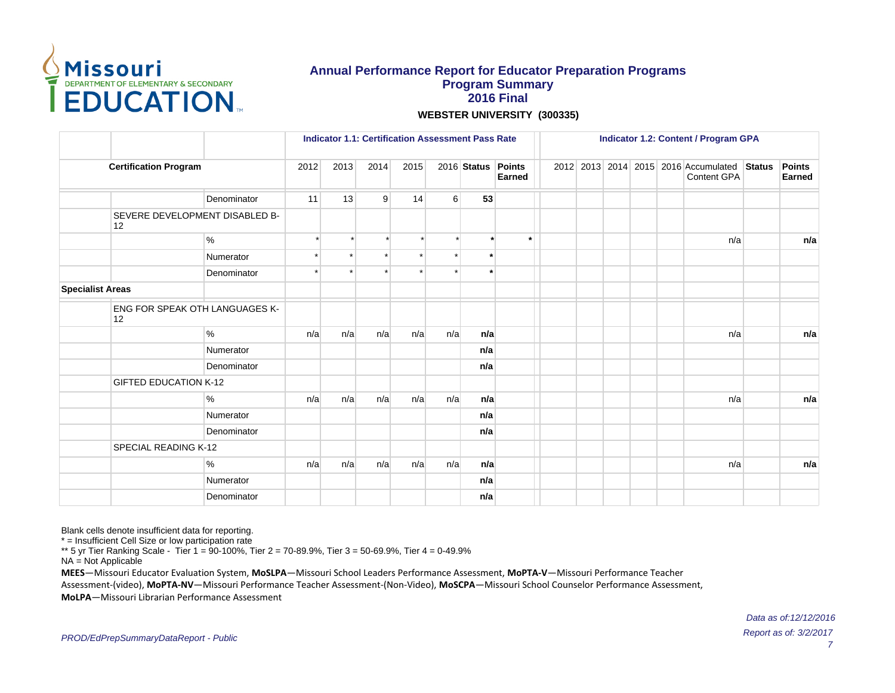

**WEBSTER UNIVERSITY (300335)**

|                         |                                      |             |         | <b>Indicator 1.1: Certification Assessment Pass Rate</b> |         |      |                |                    |         | <b>Indicator 1.2: Content / Program GPA</b> |  |  |  |  |                                                            |               |                         |
|-------------------------|--------------------------------------|-------------|---------|----------------------------------------------------------|---------|------|----------------|--------------------|---------|---------------------------------------------|--|--|--|--|------------------------------------------------------------|---------------|-------------------------|
|                         | <b>Certification Program</b>         |             | 2012    | 2013                                                     | 2014    | 2015 |                | 2016 Status Points | Earned  |                                             |  |  |  |  | 2012 2013 2014 2015 2016 Accumulated<br><b>Content GPA</b> | <b>Status</b> | <b>Points</b><br>Earned |
|                         |                                      | Denominator | 11      | 13                                                       | 9       | 14   | 6 <sup>1</sup> | 53                 |         |                                             |  |  |  |  |                                                            |               |                         |
|                         | SEVERE DEVELOPMENT DISABLED B-<br>12 |             |         |                                                          |         |      |                |                    |         |                                             |  |  |  |  |                                                            |               |                         |
|                         |                                      | %           | $\star$ |                                                          | $\star$ |      |                | $\ddot{}$          | $\star$ |                                             |  |  |  |  | n/a                                                        |               | n/a                     |
|                         |                                      | Numerator   | $\star$ |                                                          | $\star$ |      |                | $\star$            |         |                                             |  |  |  |  |                                                            |               |                         |
|                         |                                      | Denominator |         |                                                          |         |      |                | $\star$            |         |                                             |  |  |  |  |                                                            |               |                         |
| <b>Specialist Areas</b> |                                      |             |         |                                                          |         |      |                |                    |         |                                             |  |  |  |  |                                                            |               |                         |
|                         | ENG FOR SPEAK OTH LANGUAGES K-<br>12 |             |         |                                                          |         |      |                |                    |         |                                             |  |  |  |  |                                                            |               |                         |
|                         |                                      | %           | n/a     | n/a                                                      | n/a     | n/a  | n/a            | n/a                |         |                                             |  |  |  |  | n/a                                                        |               | n/a                     |
|                         |                                      | Numerator   |         |                                                          |         |      |                | n/a                |         |                                             |  |  |  |  |                                                            |               |                         |
|                         |                                      | Denominator |         |                                                          |         |      |                | n/a                |         |                                             |  |  |  |  |                                                            |               |                         |
|                         | <b>GIFTED EDUCATION K-12</b>         |             |         |                                                          |         |      |                |                    |         |                                             |  |  |  |  |                                                            |               |                         |
|                         |                                      | $\%$        | n/a     | n/a                                                      | n/a     | n/a  | n/a            | n/a                |         |                                             |  |  |  |  | n/a                                                        |               | n/a                     |
|                         |                                      | Numerator   |         |                                                          |         |      |                | n/a                |         |                                             |  |  |  |  |                                                            |               |                         |
|                         |                                      | Denominator |         |                                                          |         |      |                | n/a                |         |                                             |  |  |  |  |                                                            |               |                         |
|                         | SPECIAL READING K-12                 |             |         |                                                          |         |      |                |                    |         |                                             |  |  |  |  |                                                            |               |                         |
|                         |                                      | %           | n/a     | n/a                                                      | n/a     | n/a  | n/a            | n/a                |         |                                             |  |  |  |  | n/a                                                        |               | n/a                     |
|                         |                                      | Numerator   |         |                                                          |         |      |                | n/a                |         |                                             |  |  |  |  |                                                            |               |                         |
|                         |                                      | Denominator |         | n/a                                                      |         |      |                |                    |         |                                             |  |  |  |  |                                                            |               |                         |

Blank cells denote insufficient data for reporting.

\* = Insufficient Cell Size or low participation rate

\*\* 5 yr Tier Ranking Scale - Tier 1 = 90-100%, Tier 2 = 70-89.9%, Tier 3 = 50-69.9%, Tier 4 = 0-49.9%

NA = Not Applicable

**MEES**-Missouri Educator Evaluation System, MoSLPA-Missouri School Leaders Performance Assessment, MoPTA-V-Missouri Performance Teacher Assessment-(video), MoPTA-NV-Missouri Performance Teacher Assessment-(Non-Video), MoSCPA-Missouri School Counselor Performance Assessment,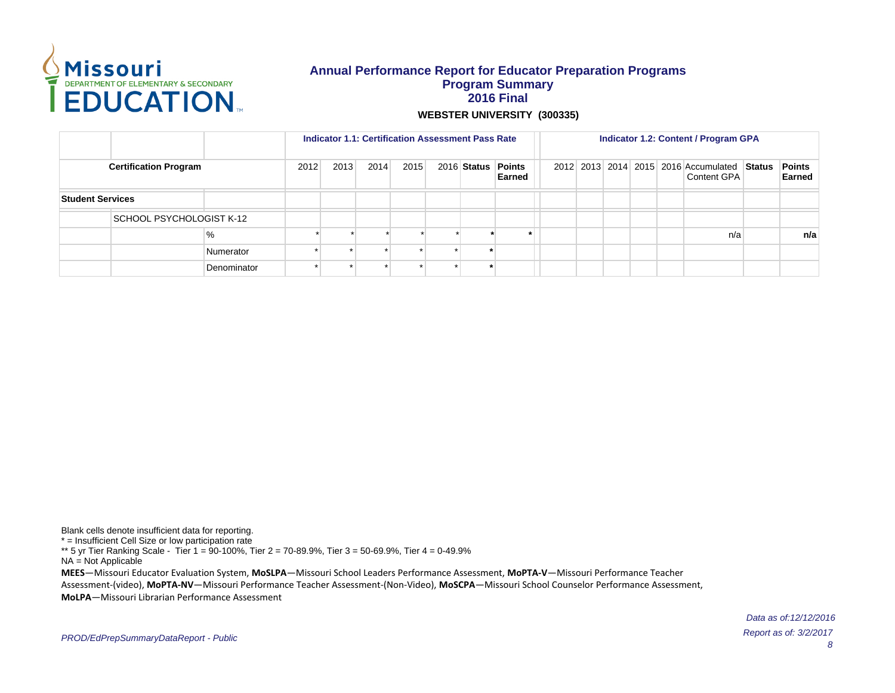

**WEBSTER UNIVERSITY (300335)**

|                                                                                    |                          |             |  | <b>Indicator 1.1: Certification Assessment Pass Rate</b> |  |  |  |  | Indicator 1.2: Content / Program GPA<br>2012 2013 2014 2015 2016 Accumulated Status |             |  |                         |  |  |     |  |     |
|------------------------------------------------------------------------------------|--------------------------|-------------|--|----------------------------------------------------------|--|--|--|--|-------------------------------------------------------------------------------------|-------------|--|-------------------------|--|--|-----|--|-----|
| 2012<br>2013<br>2014<br>2015<br>2016 Status Points<br><b>Certification Program</b> |                          |             |  | Earned                                                   |  |  |  |  |                                                                                     | Content GPA |  | <b>Points</b><br>Earned |  |  |     |  |     |
| <b>Student Services</b>                                                            |                          |             |  |                                                          |  |  |  |  |                                                                                     |             |  |                         |  |  |     |  |     |
|                                                                                    | SCHOOL PSYCHOLOGIST K-12 |             |  |                                                          |  |  |  |  |                                                                                     |             |  |                         |  |  |     |  |     |
|                                                                                    |                          | %           |  |                                                          |  |  |  |  |                                                                                     |             |  |                         |  |  | n/a |  | n/a |
|                                                                                    |                          | Numerator   |  |                                                          |  |  |  |  |                                                                                     |             |  |                         |  |  |     |  |     |
|                                                                                    |                          | Denominator |  |                                                          |  |  |  |  |                                                                                     |             |  |                         |  |  |     |  |     |

Blank cells denote insufficient data for reporting. \* = Insufficient Cell Size or low participation rate \*\* 5 yr Tier Ranking Scale - Tier 1 = 90-100%, Tier 2 = 70-89.9%, Tier 3 = 50-69.9%, Tier 4 = 0-49.9% NA = Not Applicable **MEES**-Missouri Educator Evaluation System, MoSLPA-Missouri School Leaders Performance Assessment, MoPTA-V-Missouri Performance Teacher Assessment-(video), MoPTA-NV-Missouri Performance Teacher Assessment-(Non-Video), MoSCPA-Missouri School Counselor Performance Assessment, **MoLPA** – Missouri Librarian Performance Assessment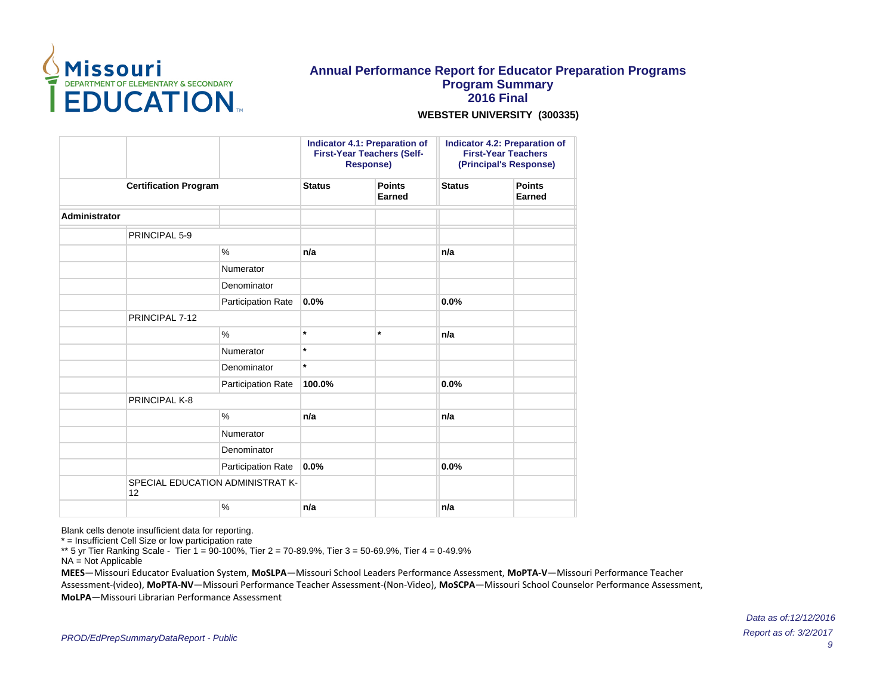

**WEBSTER UNIVERSITY (300335)**

|               |                              |                                  |               | <b>Indicator 4.1: Preparation of</b><br><b>First-Year Teachers (Self-</b><br><b>Response)</b> |               | Indicator 4.2: Preparation of<br><b>First-Year Teachers</b><br>(Principal's Response) |
|---------------|------------------------------|----------------------------------|---------------|-----------------------------------------------------------------------------------------------|---------------|---------------------------------------------------------------------------------------|
|               | <b>Certification Program</b> |                                  | <b>Status</b> | <b>Points</b><br><b>Earned</b>                                                                | <b>Status</b> | <b>Points</b><br><b>Earned</b>                                                        |
| Administrator |                              |                                  |               |                                                                                               |               |                                                                                       |
|               | PRINCIPAL 5-9                |                                  |               |                                                                                               |               |                                                                                       |
|               |                              | $\frac{0}{0}$                    | n/a           |                                                                                               | n/a           |                                                                                       |
|               |                              | Numerator                        |               |                                                                                               |               |                                                                                       |
|               |                              | Denominator                      |               |                                                                                               |               |                                                                                       |
|               |                              | Participation Rate               | 0.0%          |                                                                                               | 0.0%          |                                                                                       |
|               | PRINCIPAL 7-12               |                                  |               |                                                                                               |               |                                                                                       |
|               |                              | $\%$                             | $\star$       | $\star$                                                                                       | n/a           |                                                                                       |
|               |                              | Numerator                        | $\star$       |                                                                                               |               |                                                                                       |
|               |                              | Denominator                      | $\star$       |                                                                                               |               |                                                                                       |
|               |                              | Participation Rate               | 100.0%        |                                                                                               | 0.0%          |                                                                                       |
|               | PRINCIPAL K-8                |                                  |               |                                                                                               |               |                                                                                       |
|               |                              | $\frac{0}{0}$                    | n/a           |                                                                                               | n/a           |                                                                                       |
|               |                              | Numerator                        |               |                                                                                               |               |                                                                                       |
|               |                              | Denominator                      |               |                                                                                               |               |                                                                                       |
|               |                              | Participation Rate               | 0.0%          |                                                                                               | 0.0%          |                                                                                       |
|               | 12                           | SPECIAL EDUCATION ADMINISTRAT K- |               |                                                                                               |               |                                                                                       |
|               |                              | $\%$                             | n/a           |                                                                                               | n/a           |                                                                                       |

Blank cells denote insufficient data for reporting.

\* = Insufficient Cell Size or low participation rate

\*\* 5 yr Tier Ranking Scale - Tier 1 = 90-100%, Tier 2 = 70-89.9%, Tier 3 = 50-69.9%, Tier 4 = 0-49.9%

NA = Not Applicable

**MEES**-Missouri Educator Evaluation System, MoSLPA-Missouri School Leaders Performance Assessment, MoPTA-V-Missouri Performance Teacher Assessment-(video), MoPTA-NV-Missouri Performance Teacher Assessment-(Non-Video), MoSCPA-Missouri School Counselor Performance Assessment, **MoLPA** – Missouri Librarian Performance Assessment

> Report as of: 3/2/2017 9 Data as of:12/12/2016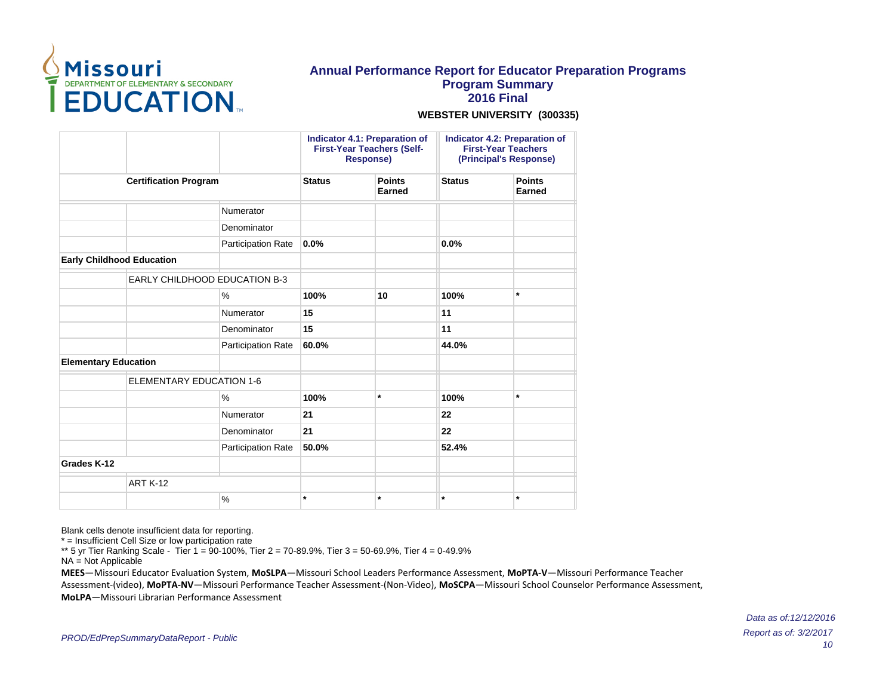

#### **WEBSTER UNIVERSITY (300335)**

|                                  |                                 |                           |               | <b>Indicator 4.1: Preparation of</b><br><b>First-Year Teachers (Self-</b><br><b>Response)</b> |               | Indicator 4.2: Preparation of<br><b>First-Year Teachers</b><br>(Principal's Response) |
|----------------------------------|---------------------------------|---------------------------|---------------|-----------------------------------------------------------------------------------------------|---------------|---------------------------------------------------------------------------------------|
|                                  | <b>Certification Program</b>    |                           | <b>Status</b> | <b>Points</b><br><b>Earned</b>                                                                | <b>Status</b> | <b>Points</b><br>Earned                                                               |
|                                  |                                 | Numerator                 |               |                                                                                               |               |                                                                                       |
|                                  |                                 | Denominator               |               |                                                                                               |               |                                                                                       |
|                                  |                                 | Participation Rate        | 0.0%          |                                                                                               | 0.0%          |                                                                                       |
| <b>Early Childhood Education</b> |                                 |                           |               |                                                                                               |               |                                                                                       |
|                                  | EARLY CHILDHOOD EDUCATION B-3   |                           |               |                                                                                               |               |                                                                                       |
|                                  |                                 | $\%$                      | 100%          | 10                                                                                            | 100%          | $\star$                                                                               |
|                                  |                                 | Numerator                 | 15            |                                                                                               | 11            |                                                                                       |
|                                  |                                 | Denominator               | 15            |                                                                                               | 11            |                                                                                       |
|                                  |                                 | <b>Participation Rate</b> | 60.0%         |                                                                                               | 44.0%         |                                                                                       |
| <b>Elementary Education</b>      |                                 |                           |               |                                                                                               |               |                                                                                       |
|                                  | <b>ELEMENTARY EDUCATION 1-6</b> |                           |               |                                                                                               |               |                                                                                       |
|                                  |                                 | $\%$                      | 100%          | $\star$                                                                                       | 100%          | $\star$                                                                               |
|                                  |                                 | Numerator                 | 21            |                                                                                               | 22            |                                                                                       |
|                                  |                                 | Denominator               | 21            |                                                                                               | 22            |                                                                                       |
|                                  |                                 | <b>Participation Rate</b> | 50.0%         |                                                                                               | 52.4%         |                                                                                       |
| Grades K-12                      |                                 |                           |               |                                                                                               |               |                                                                                       |
|                                  | <b>ART K-12</b>                 |                           |               |                                                                                               |               |                                                                                       |
|                                  |                                 | $\%$                      | $\star$       | $\star$                                                                                       | $\star$       | $\star$                                                                               |

Blank cells denote insufficient data for reporting.

\* = Insufficient Cell Size or low participation rate

\*\* 5 yr Tier Ranking Scale - Tier 1 = 90-100%, Tier 2 = 70-89.9%, Tier 3 = 50-69.9%, Tier 4 = 0-49.9%

NA = Not Applicable

**MEES**-Missouri Educator Evaluation System, MoSLPA-Missouri School Leaders Performance Assessment, MoPTA-V-Missouri Performance Teacher Assessment-(video), MoPTA-NV-Missouri Performance Teacher Assessment-(Non-Video), MoSCPA-Missouri School Counselor Performance Assessment, **MoLPA** – Missouri Librarian Performance Assessment

> Report as of: 3/2/2017 10 Data as of:12/12/2016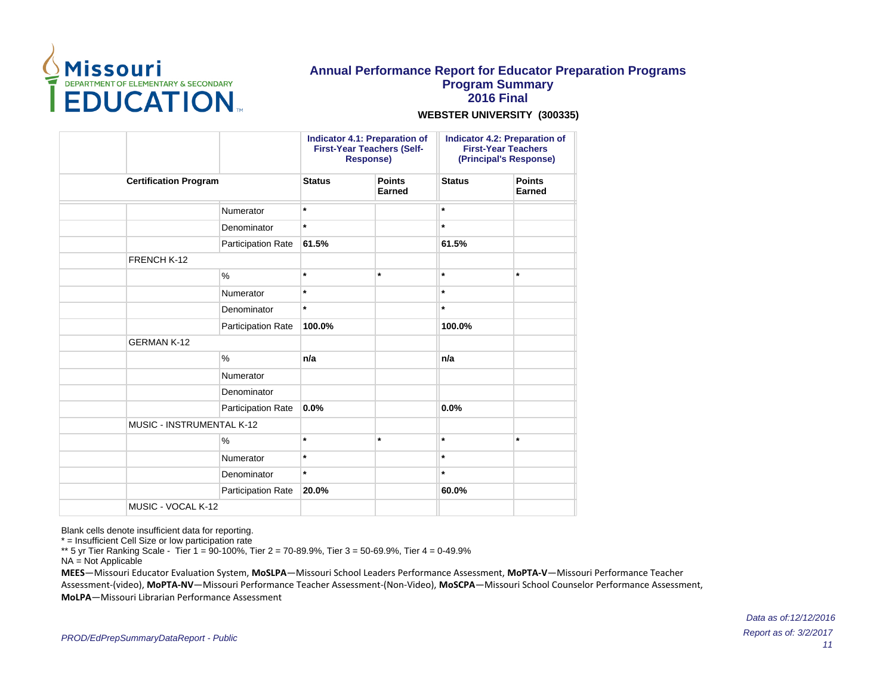

#### **WEBSTER UNIVERSITY (300335)**

|                              |                    |               | <b>Indicator 4.1: Preparation of</b><br><b>First-Year Teachers (Self-</b><br><b>Response)</b> |               | Indicator 4.2: Preparation of<br><b>First-Year Teachers</b><br>(Principal's Response) |
|------------------------------|--------------------|---------------|-----------------------------------------------------------------------------------------------|---------------|---------------------------------------------------------------------------------------|
| <b>Certification Program</b> |                    | <b>Status</b> | <b>Points</b><br>Earned                                                                       | <b>Status</b> | <b>Points</b><br>Earned                                                               |
|                              | Numerator          | $\star$       |                                                                                               | $\star$       |                                                                                       |
|                              | Denominator        | $\star$       |                                                                                               | $\star$       |                                                                                       |
|                              | Participation Rate | 61.5%         |                                                                                               | 61.5%         |                                                                                       |
| FRENCH K-12                  |                    |               |                                                                                               |               |                                                                                       |
|                              | $\%$               | $\star$       | $\star$                                                                                       | $\star$       | $\star$                                                                               |
|                              | Numerator          | $\star$       |                                                                                               | $\star$       |                                                                                       |
|                              | Denominator        | $\star$       |                                                                                               | $\star$       |                                                                                       |
|                              | Participation Rate | 100.0%        |                                                                                               | 100.0%        |                                                                                       |
| <b>GERMAN K-12</b>           |                    |               |                                                                                               |               |                                                                                       |
|                              | $\%$               | n/a           |                                                                                               | n/a           |                                                                                       |
|                              | Numerator          |               |                                                                                               |               |                                                                                       |
|                              | Denominator        |               |                                                                                               |               |                                                                                       |
|                              | Participation Rate | 0.0%          |                                                                                               | 0.0%          |                                                                                       |
| MUSIC - INSTRUMENTAL K-12    |                    |               |                                                                                               |               |                                                                                       |
|                              | %                  | $\star$       | $\star$                                                                                       | $\star$       | $\star$                                                                               |
|                              | Numerator          | $\star$       |                                                                                               | $\star$       |                                                                                       |
|                              | Denominator        | $\star$       |                                                                                               | $\star$       |                                                                                       |
|                              | Participation Rate | 20.0%         |                                                                                               | 60.0%         |                                                                                       |
| MUSIC - VOCAL K-12           |                    |               |                                                                                               |               |                                                                                       |

Blank cells denote insufficient data for reporting.

\* = Insufficient Cell Size or low participation rate

\*\* 5 yr Tier Ranking Scale - Tier 1 = 90-100%, Tier 2 = 70-89.9%, Tier 3 = 50-69.9%, Tier 4 = 0-49.9%

NA = Not Applicable

**MEES**-Missouri Educator Evaluation System, MoSLPA-Missouri School Leaders Performance Assessment, MoPTA-V-Missouri Performance Teacher Assessment-(video), MoPTA-NV-Missouri Performance Teacher Assessment-(Non-Video), MoSCPA-Missouri School Counselor Performance Assessment, **MoLPA** – Missouri Librarian Performance Assessment

> Report as of: 3/2/2017 11 Data as of:12/12/2016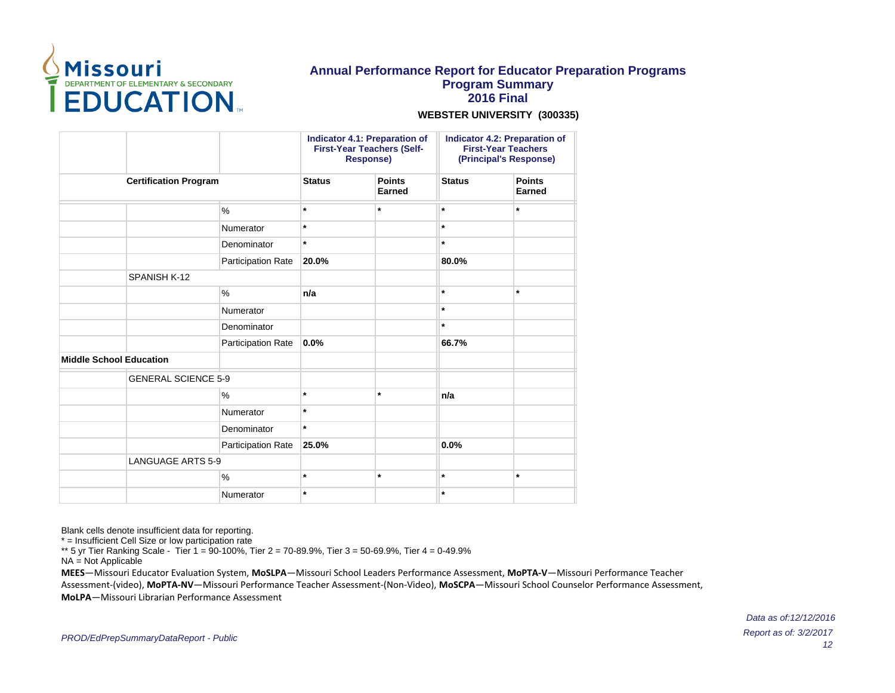

#### **WEBSTER UNIVERSITY (300335)**

|                                |                    | <b>Indicator 4.1: Preparation of</b><br><b>First-Year Teachers (Self-</b><br><b>Response)</b><br><b>Points</b><br><b>Status</b> |         |               | Indicator 4.2: Preparation of<br><b>First-Year Teachers</b><br>(Principal's Response) |
|--------------------------------|--------------------|---------------------------------------------------------------------------------------------------------------------------------|---------|---------------|---------------------------------------------------------------------------------------|
| <b>Certification Program</b>   |                    |                                                                                                                                 | Earned  | <b>Status</b> | <b>Points</b><br><b>Earned</b>                                                        |
|                                | $\%$               | $\star$                                                                                                                         | $\star$ | $\star$       | $\star$                                                                               |
|                                | Numerator          | $\ast$                                                                                                                          |         | $\star$       |                                                                                       |
|                                | Denominator        | $\star$                                                                                                                         |         | $\star$       |                                                                                       |
|                                | Participation Rate | 20.0%                                                                                                                           |         | 80.0%         |                                                                                       |
| SPANISH K-12                   |                    |                                                                                                                                 |         |               |                                                                                       |
|                                | $\%$               | n/a                                                                                                                             |         | $\star$       | $\star$                                                                               |
|                                | Numerator          |                                                                                                                                 |         | $\star$       |                                                                                       |
|                                | Denominator        |                                                                                                                                 |         | $\star$       |                                                                                       |
|                                | Participation Rate | 0.0%                                                                                                                            |         | 66.7%         |                                                                                       |
| <b>Middle School Education</b> |                    |                                                                                                                                 |         |               |                                                                                       |
| <b>GENERAL SCIENCE 5-9</b>     |                    |                                                                                                                                 |         |               |                                                                                       |
|                                | $\%$               | $\ast$                                                                                                                          | $\star$ | n/a           |                                                                                       |
|                                | Numerator          | $\star$                                                                                                                         |         |               |                                                                                       |
|                                | Denominator        | $\star$                                                                                                                         |         |               |                                                                                       |
|                                | Participation Rate | 25.0%                                                                                                                           |         | 0.0%          |                                                                                       |
| <b>LANGUAGE ARTS 5-9</b>       |                    |                                                                                                                                 |         |               |                                                                                       |
|                                | $\%$               | $\star$                                                                                                                         | $\star$ | $\star$       | $\star$                                                                               |
|                                | Numerator          | $\ast$                                                                                                                          |         | $\star$       |                                                                                       |

Blank cells denote insufficient data for reporting.

\* = Insufficient Cell Size or low participation rate

\*\* 5 yr Tier Ranking Scale - Tier 1 = 90-100%, Tier 2 = 70-89.9%, Tier 3 = 50-69.9%, Tier 4 = 0-49.9%

NA = Not Applicable

**MEES**-Missouri Educator Evaluation System, MoSLPA-Missouri School Leaders Performance Assessment, MoPTA-V-Missouri Performance Teacher Assessment-(video), MoPTA-NV-Missouri Performance Teacher Assessment-(Non-Video), MoSCPA-Missouri School Counselor Performance Assessment, **MoLPA** – Missouri Librarian Performance Assessment

> Report as of: 3/2/2017 12 Data as of:12/12/2016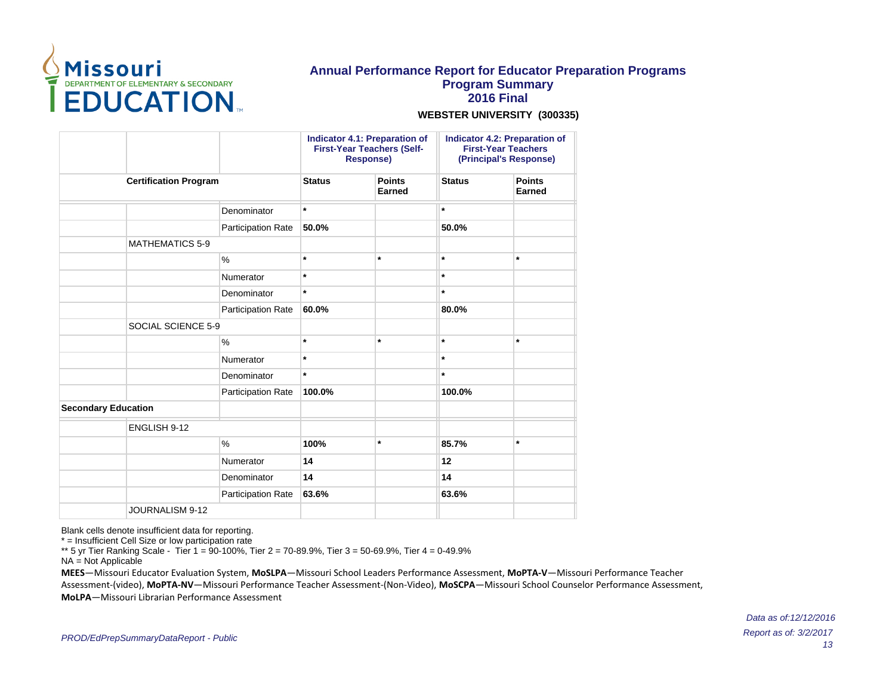

#### **WEBSTER UNIVERSITY (300335)**

|                            |                              |                           |               | Indicator 4.1: Preparation of<br><b>First-Year Teachers (Self-</b><br><b>Response)</b> |               | Indicator 4.2: Preparation of<br><b>First-Year Teachers</b><br>(Principal's Response) |
|----------------------------|------------------------------|---------------------------|---------------|----------------------------------------------------------------------------------------|---------------|---------------------------------------------------------------------------------------|
|                            | <b>Certification Program</b> |                           | <b>Status</b> | <b>Points</b><br>Earned                                                                | <b>Status</b> | <b>Points</b><br><b>Earned</b>                                                        |
|                            |                              | Denominator               | $\star$       |                                                                                        | $\star$       |                                                                                       |
|                            |                              | Participation Rate        | 50.0%         |                                                                                        | 50.0%         |                                                                                       |
|                            | <b>MATHEMATICS 5-9</b>       |                           |               |                                                                                        |               |                                                                                       |
|                            |                              | $\%$                      | $\star$       | $\star$                                                                                | $\star$       | $\star$                                                                               |
|                            |                              | Numerator                 | $\star$       |                                                                                        | $\star$       |                                                                                       |
|                            |                              | Denominator               | $\ast$        |                                                                                        | $\star$       |                                                                                       |
|                            |                              | Participation Rate        | 60.0%         |                                                                                        | 80.0%         |                                                                                       |
|                            | SOCIAL SCIENCE 5-9           |                           |               |                                                                                        |               |                                                                                       |
|                            |                              | $\%$                      | $\star$       | $\star$                                                                                | $\star$       | $\star$                                                                               |
|                            |                              | Numerator                 | $\star$       |                                                                                        | $\star$       |                                                                                       |
|                            |                              | Denominator               | $\star$       |                                                                                        | $\star$       |                                                                                       |
|                            |                              | Participation Rate        | 100.0%        |                                                                                        | 100.0%        |                                                                                       |
| <b>Secondary Education</b> |                              |                           |               |                                                                                        |               |                                                                                       |
|                            | ENGLISH 9-12                 |                           |               |                                                                                        |               |                                                                                       |
|                            |                              | $\%$                      | 100%          | $\star$                                                                                | 85.7%         | $\star$                                                                               |
|                            |                              | Numerator                 | 14            |                                                                                        | 12            |                                                                                       |
|                            |                              | Denominator               | 14            |                                                                                        | 14            |                                                                                       |
|                            |                              | <b>Participation Rate</b> | 63.6%         |                                                                                        | 63.6%         |                                                                                       |
|                            | JOURNALISM 9-12              |                           |               |                                                                                        |               |                                                                                       |

Blank cells denote insufficient data for reporting.

\* = Insufficient Cell Size or low participation rate

\*\* 5 yr Tier Ranking Scale - Tier 1 = 90-100%, Tier 2 = 70-89.9%, Tier 3 = 50-69.9%, Tier 4 = 0-49.9%

NA = Not Applicable

**MEES**-Missouri Educator Evaluation System, MoSLPA-Missouri School Leaders Performance Assessment, MoPTA-V-Missouri Performance Teacher Assessment-(video), MoPTA-NV-Missouri Performance Teacher Assessment-(Non-Video), MoSCPA-Missouri School Counselor Performance Assessment, **MoLPA** – Missouri Librarian Performance Assessment

> Report as of: 3/2/2017 13 Data as of:12/12/2016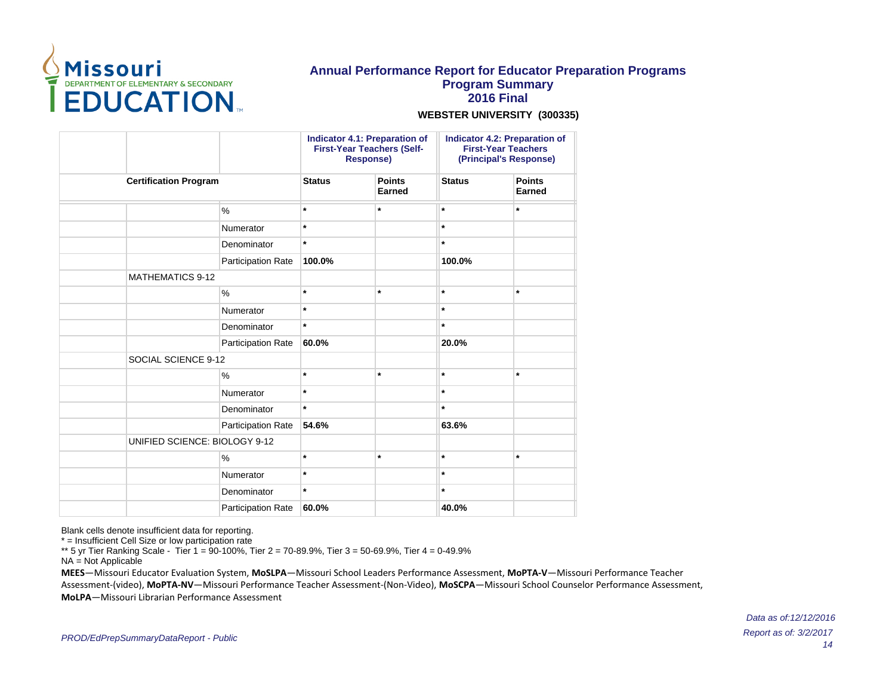

#### **WEBSTER UNIVERSITY (300335)**

|                               |                    | <b>Indicator 4.1: Preparation of</b><br><b>First-Year Teachers (Self-</b><br><b>Response)</b> |                         | <b>Indicator 4.2: Preparation of</b><br><b>First-Year Teachers</b><br>(Principal's Response) |                                |
|-------------------------------|--------------------|-----------------------------------------------------------------------------------------------|-------------------------|----------------------------------------------------------------------------------------------|--------------------------------|
| <b>Certification Program</b>  |                    | <b>Status</b>                                                                                 | <b>Points</b><br>Earned | <b>Status</b>                                                                                | <b>Points</b><br><b>Earned</b> |
|                               | %                  | $\star$                                                                                       | $\star$                 | $\star$                                                                                      | $\star$                        |
|                               | Numerator          | $\star$                                                                                       |                         | $\star$                                                                                      |                                |
|                               | Denominator        | $\star$                                                                                       |                         | $\star$                                                                                      |                                |
|                               | Participation Rate | 100.0%                                                                                        |                         | 100.0%                                                                                       |                                |
| <b>MATHEMATICS 9-12</b>       |                    |                                                                                               |                         |                                                                                              |                                |
|                               | $\%$               | $\star$                                                                                       | $\star$                 | $\star$                                                                                      | $\star$                        |
|                               | Numerator          | $\star$                                                                                       |                         | $\star$                                                                                      |                                |
|                               | Denominator        | $\star$                                                                                       |                         | $\star$                                                                                      |                                |
|                               | Participation Rate | 60.0%                                                                                         |                         | 20.0%                                                                                        |                                |
| SOCIAL SCIENCE 9-12           |                    |                                                                                               |                         |                                                                                              |                                |
|                               | %                  | $\star$                                                                                       | $\star$                 | $\star$                                                                                      | $\star$                        |
|                               | Numerator          | $\star$                                                                                       |                         | $\star$                                                                                      |                                |
|                               | Denominator        | $\star$                                                                                       |                         | $\star$                                                                                      |                                |
|                               | Participation Rate | 54.6%                                                                                         |                         | 63.6%                                                                                        |                                |
| UNIFIED SCIENCE: BIOLOGY 9-12 |                    |                                                                                               |                         |                                                                                              |                                |
|                               | %                  | $\star$                                                                                       | $\star$                 | $\star$                                                                                      | $\star$                        |
|                               | Numerator          | $\star$                                                                                       |                         | $\star$                                                                                      |                                |
|                               | Denominator        | $\star$                                                                                       |                         | $\star$                                                                                      |                                |
|                               | Participation Rate | 60.0%                                                                                         |                         | 40.0%                                                                                        |                                |

Blank cells denote insufficient data for reporting.

\* = Insufficient Cell Size or low participation rate

\*\* 5 yr Tier Ranking Scale - Tier 1 = 90-100%, Tier 2 = 70-89.9%, Tier 3 = 50-69.9%, Tier 4 = 0-49.9%

NA = Not Applicable

**MEES**-Missouri Educator Evaluation System, MoSLPA-Missouri School Leaders Performance Assessment, MoPTA-V-Missouri Performance Teacher Assessment-(video), MoPTA-NV-Missouri Performance Teacher Assessment-(Non-Video), MoSCPA-Missouri School Counselor Performance Assessment, **MoLPA** – Missouri Librarian Performance Assessment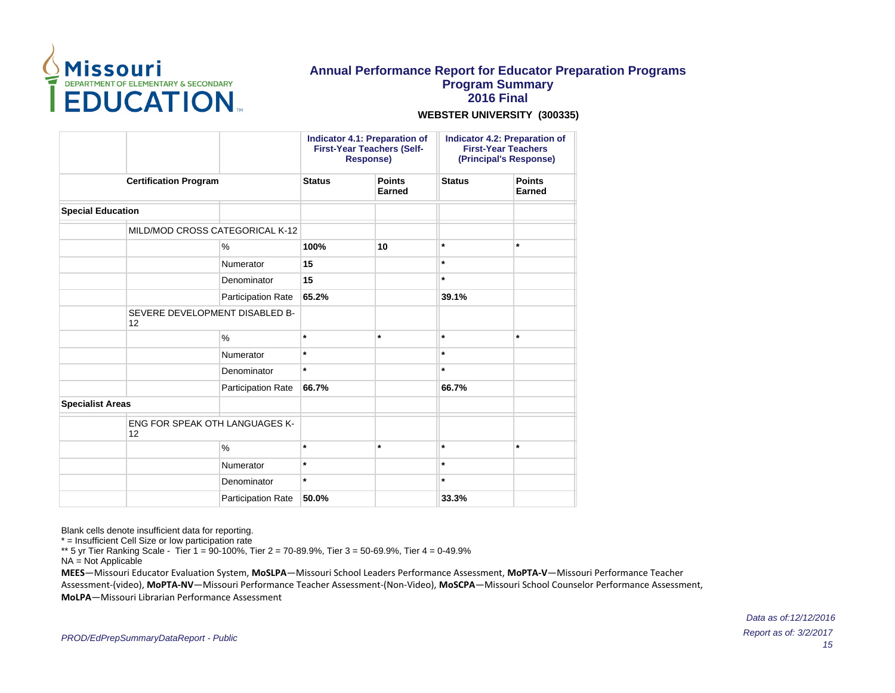

#### **WEBSTER UNIVERSITY (300335)**

|                              |                                             |                           | <b>Indicator 4.1: Preparation of</b><br><b>First-Year Teachers (Self-</b><br><b>Response)</b> |               | <b>Indicator 4.2: Preparation of</b><br><b>First-Year Teachers</b><br>(Principal's Response) |         |
|------------------------------|---------------------------------------------|---------------------------|-----------------------------------------------------------------------------------------------|---------------|----------------------------------------------------------------------------------------------|---------|
| <b>Certification Program</b> |                                             | <b>Status</b>             | <b>Points</b><br>Earned                                                                       | <b>Status</b> | <b>Points</b><br><b>Earned</b>                                                               |         |
| <b>Special Education</b>     |                                             |                           |                                                                                               |               |                                                                                              |         |
|                              | MILD/MOD CROSS CATEGORICAL K-12             |                           |                                                                                               |               |                                                                                              |         |
|                              |                                             | %                         | 100%                                                                                          | 10            | $\star$                                                                                      | $\star$ |
|                              |                                             | Numerator                 | 15                                                                                            |               | $\star$                                                                                      |         |
|                              |                                             | Denominator               | 15                                                                                            |               | $\star$                                                                                      |         |
|                              |                                             | <b>Participation Rate</b> | 65.2%                                                                                         |               | 39.1%                                                                                        |         |
|                              | SEVERE DEVELOPMENT DISABLED B-<br>12        |                           |                                                                                               |               |                                                                                              |         |
|                              |                                             | $\%$                      | $\star$                                                                                       | $\star$       | $\star$                                                                                      | $\star$ |
|                              |                                             | Numerator                 | $\star$                                                                                       |               | $\star$                                                                                      |         |
|                              |                                             | Denominator               | $\star$                                                                                       |               | $\star$                                                                                      |         |
|                              |                                             | Participation Rate        | 66.7%                                                                                         |               | 66.7%                                                                                        |         |
| <b>Specialist Areas</b>      |                                             |                           |                                                                                               |               |                                                                                              |         |
|                              | <b>ENG FOR SPEAK OTH LANGUAGES K-</b><br>12 |                           |                                                                                               |               |                                                                                              |         |
|                              |                                             | $\frac{1}{2}$             | $\star$                                                                                       | $\star$       | $\star$                                                                                      | $\star$ |
|                              |                                             | Numerator                 | $\star$                                                                                       |               | $\star$                                                                                      |         |
|                              |                                             | Denominator               | $\star$                                                                                       |               | $\star$                                                                                      |         |
|                              |                                             | <b>Participation Rate</b> | 50.0%                                                                                         |               | 33.3%                                                                                        |         |

Blank cells denote insufficient data for reporting.

\* = Insufficient Cell Size or low participation rate

\*\* 5 yr Tier Ranking Scale - Tier 1 = 90-100%, Tier 2 = 70-89.9%, Tier 3 = 50-69.9%, Tier 4 = 0-49.9%

NA = Not Applicable

**MEES**-Missouri Educator Evaluation System, MoSLPA-Missouri School Leaders Performance Assessment, MoPTA-V-Missouri Performance Teacher Assessment-(video), MoPTA-NV-Missouri Performance Teacher Assessment-(Non-Video), MoSCPA-Missouri School Counselor Performance Assessment, **MoLPA** – Missouri Librarian Performance Assessment

> Report as of: 3/2/2017 15 Data as of:12/12/2016